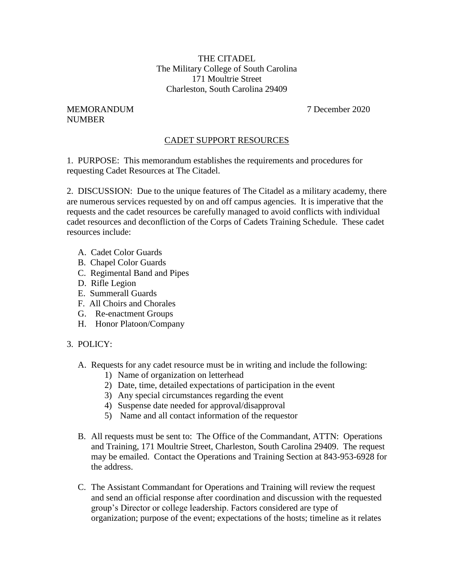THE CITADEL The Military College of South Carolina 171 Moultrie Street Charleston, South Carolina 29409

## MEMORANDUM 7 December 2020 NUMBER

## CADET SUPPORT RESOURCES

1. PURPOSE: This memorandum establishes the requirements and procedures for requesting Cadet Resources at The Citadel.

2. DISCUSSION: Due to the unique features of The Citadel as a military academy, there are numerous services requested by on and off campus agencies. It is imperative that the requests and the cadet resources be carefully managed to avoid conflicts with individual cadet resources and deconfliction of the Corps of Cadets Training Schedule. These cadet resources include:

- A. Cadet Color Guards
- B. Chapel Color Guards
- C. Regimental Band and Pipes
- D. Rifle Legion
- E. Summerall Guards
- F. All Choirs and Chorales
- G. Re-enactment Groups
- H. Honor Platoon/Company

## 3. POLICY:

- A. Requests for any cadet resource must be in writing and include the following:
	- 1) Name of organization on letterhead
	- 2) Date, time, detailed expectations of participation in the event
	- 3) Any special circumstances regarding the event
	- 4) Suspense date needed for approval/disapproval
	- 5) Name and all contact information of the requestor
- B. All requests must be sent to: The Office of the Commandant, ATTN: Operations and Training, 171 Moultrie Street, Charleston, South Carolina 29409. The request may be emailed. Contact the Operations and Training Section at 843-953-6928 for the address.
- C. The Assistant Commandant for Operations and Training will review the request and send an official response after coordination and discussion with the requested group's Director or college leadership. Factors considered are type of organization; purpose of the event; expectations of the hosts; timeline as it relates